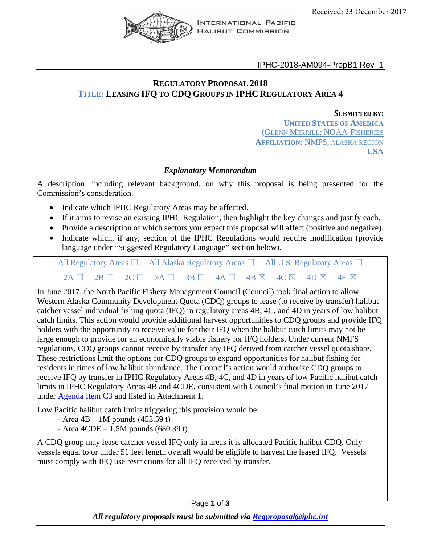

IPHC-2018-AM094-PropB1 Rev\_1

# **REGULATORY PROPOSAL 2018 TITLE: LEASING IFQ TO CDQ GROUPS IN IPHC REGULATORY AREA 4**

#### **SUBMITTED BY:**

**UNITED STATES OF AMERICA (**GLENN MERRILL; NOAA-FISHERIES **AFFILIATION:** NMFS, ALASKA REGION **USA**

## *Explanatory Memorandum*

A description, including relevant background, on why this proposal is being presented for the Commission's consideration.

- Indicate which IPHC Regulatory Areas may be affected.
- If it aims to revise an existing IPHC Regulation, then highlight the key changes and justify each.
- Provide a description of which sectors you expect this proposal will affect (positive and negative).
- Indicate which, if any, section of the IPHC Regulations would require modification (provide language under "Suggested Regulatory Language" section below).

All Regulatory Areas □ All Alaska Regulatory Areas □ All U.S. Regulatory Areas □  $2A \Box$  2B  $\Box$  2C  $\Box$  3A  $\Box$  3B  $\Box$  4A  $\Box$  4B  $\boxtimes$  4C  $\boxtimes$  4D  $\boxtimes$  4E  $\boxtimes$ 

In June 2017, the North Pacific Fishery Management Council (Council) took final action to allow Western Alaska Community Development Quota (CDQ) groups to lease (to receive by transfer) halibut catcher vessel individual fishing quota (IFQ) in regulatory areas 4B, 4C, and 4D in years of low halibut catch limits. This action would provide additional harvest opportunities to CDQ groups and provide IFQ holders with the opportunity to receive value for their IFQ when the halibut catch limits may not be large enough to provide for an economically viable fishery for IFQ holders. Under current NMFS regulations, CDQ groups cannot receive by transfer any IFQ derived from catcher vessel quota share. These restrictions limit the options for CDQ groups to expand opportunities for halibut fishing for residents in times of low halibut abundance. The Council's action would authorize CDQ groups to receive IFQ by transfer in IPHC Regulatory Areas 4B, 4C, and 4D in years of low Pacific halibut catch limits in IPHC Regulatory Areas 4B and 4CDE, consistent with Council's final motion in June 2017 under [Agenda Item C3](https://legistar2.granicus.com/npfmc/meetings/2017/6/957_A_North_Pacific_Council_17-06-05_Meeting_Agenda.pdf) and listed in Attachment 1.

Low Pacific halibut catch limits triggering this provision would be:

- Area 4B 1M pounds (453.59 t)
- Area  $4CDE 1.5M$  pounds  $(680.39 t)$

A CDQ group may lease catcher vessel IFQ only in areas it is allocated Pacific halibut CDQ. Only vessels equal to or under 51 feet length overall would be eligible to harvest the leased IFQ. Vessels must comply with IFQ use restrictions for all IFQ received by transfer.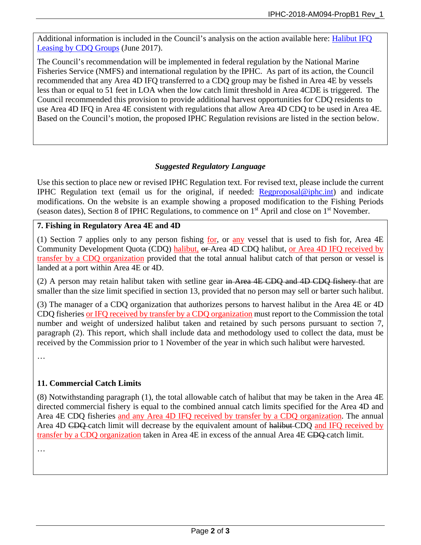Additional information is included in the Council's analysis on the action available here: Halibut IFQ Leasing by CDQ Groups (June 2017).

The Council's recommendation will be implemented in federal regulation by the National Marine Fisheries Service (NMFS) and international regulation by the IPHC. As part of its action, the Council recommended that any Area 4D IFQ transferred to a CDQ group may be fished in Area 4E by vessels less than or equal to 51 feet in LOA when the low catch limit threshold in Area 4CDE is triggered. The Council recommended this provision to provide additional harvest opportunities for CDQ residents to use Area 4D IFQ in Area 4E consistent with regulations that allow Area 4D CDQ to be used in Area 4E. Based on the Council's motion, the proposed IPHC Regulation revisions are listed in the section below.

# *Suggested Regulatory Language*

Use this section to place new or revised IPHC Regulation text. For revised text, please include the current IPHC Regulation text (email us for the original, if needed: [Regproposal@iphc.int\)](mailto:Regproposal@iphc.int) and indicate modifications. On the website is an example showing a proposed modification to the Fishing Periods (season dates), Section 8 of IPHC Regulations, to commence on 1st April and close on 1st November.

# **7. Fishing in Regulatory Area 4E and 4D**

(1) Section 7 applies only to any person fishing for, or any vessel that is used to fish for, Area 4E Community Development Quota (CDQ) halibut, or Area 4D CDQ halibut, or Area 4D IFQ received by transfer by a CDQ organization provided that the total annual halibut catch of that person or vessel is landed at a port within Area 4E or 4D.

(2) A person may retain halibut taken with setline gear in Area 4E CDQ and 4D CDQ fishery that are smaller than the size limit specified in section 13, provided that no person may sell or barter such halibut.

(3) The manager of a CDQ organization that authorizes persons to harvest halibut in the Area 4E or 4D CDQ fisheries or IFQ received by transfer by a CDQ organization must report to the Commission the total number and weight of undersized halibut taken and retained by such persons pursuant to section 7, paragraph (2). This report, which shall include data and methodology used to collect the data, must be received by the Commission prior to 1 November of the year in which such halibut were harvested.

…

## **11. Commercial Catch Limits**

(8) Notwithstanding paragraph (1), the total allowable catch of halibut that may be taken in the Area 4E directed commercial fishery is equal to the combined annual catch limits specified for the Area 4D and Area 4E CDQ fisheries and any Area 4D IFQ received by transfer by a CDQ organization. The annual Area 4D CDQ catch limit will decrease by the equivalent amount of halibut CDQ and IFQ received by transfer by a CDQ organization taken in Area 4E in excess of the annual Area 4E CDQ catch limit.

…